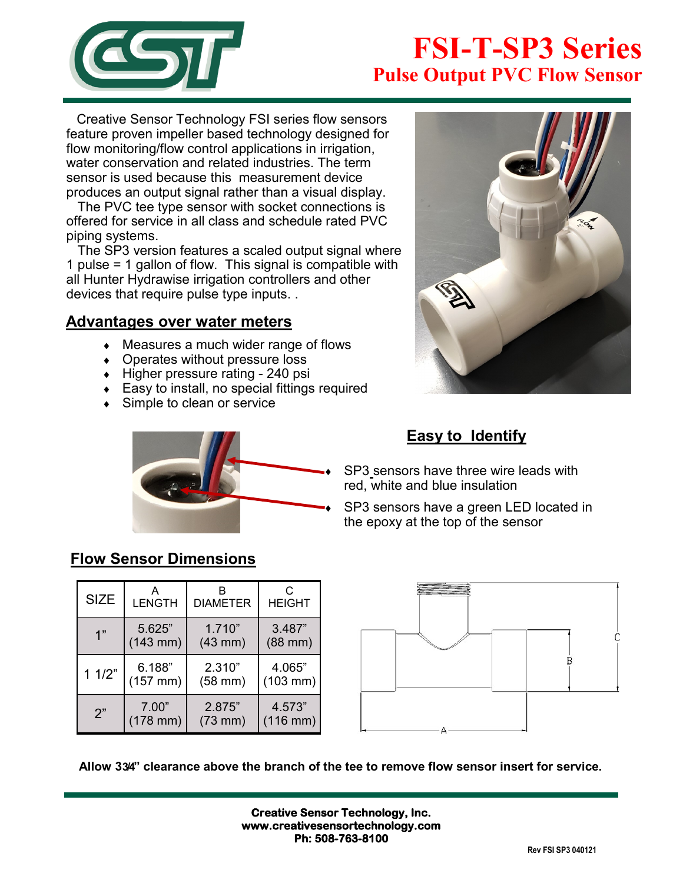

# **FSI-T-SP3 Series Pulse Output PVC Flow Sensor**

 Creative Sensor Technology FSI series flow sensors feature proven impeller based technology designed for flow monitoring/flow control applications in irrigation, water conservation and related industries. The term sensor is used because this measurement device produces an output signal rather than a visual display.

 The PVC tee type sensor with socket connections is offered for service in all class and schedule rated PVC piping systems.

 The SP3 version features a scaled output signal where 1 pulse = 1 gallon of flow. This signal is compatible with all Hunter Hydrawise irrigation controllers and other devices that require pulse type inputs. .

#### **Advantages over water meters**

- Measures a much wider range of flows
- Operates without pressure loss
- $\bullet$  Higher pressure rating 240 psi
- Easy to install, no special fittings required
- ◆ Simple to clean or service





### **Easy to Identify**

 SP3 sensors have three wire leads with red, white and blue insulation

 SP3 sensors have a green LED located in the epoxy at the top of the sensor

### **Flow Sensor Dimensions**

| <b>SIZE</b> | А<br><b>LENGTH</b> | <b>DIAMETER</b> | C<br><b>HEIGHT</b>   |
|-------------|--------------------|-----------------|----------------------|
| 1"          | 5.625"             | 1.710"          | 3.487"               |
|             | $(143$ mm)         | $(43$ mm $)$    | $(88$ mm $)$         |
| 11/2"       | 6.188"             | 2.310"          | 4.065"               |
|             | $(157$ mm)         | $(58$ mm $)$    | $(103 \, \text{mm})$ |
| 2"          | 7.00"              | 2.875"          | 4.573"               |
|             | $(178$ mm $)$      | $(73$ mm $)$    | $(116$ mm)           |



**Allow 3 3/4" clearance above the branch of the tee to remove flow sensor insert for service.**

**Creative Sensor Technology, Inc. www.creativesensortechnology.com Ph: 508-763-8100**